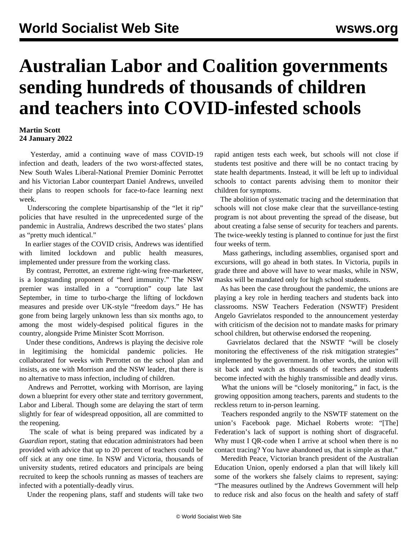## **Australian Labor and Coalition governments sending hundreds of thousands of children and teachers into COVID-infested schools**

## **Martin Scott 24 January 2022**

 Yesterday, amid a continuing wave of mass COVID-19 infection and death, leaders of the two worst-affected states, New South Wales Liberal-National Premier Dominic Perrottet and his Victorian Labor counterpart Daniel Andrews, unveiled their plans to reopen schools for face-to-face learning next week.

 Underscoring the complete bipartisanship of the "let it rip" policies that have resulted in the unprecedented surge of the pandemic in Australia, Andrews described the two states' plans as "pretty much identical."

 In earlier stages of the COVID crisis, Andrews was identified with limited lockdown and public health measures, implemented under pressure from the working class.

 By contrast, Perrottet, an extreme right-wing free-marketeer, is a longstanding proponent of "herd immunity." The NSW premier was installed in a "corruption" coup late last September, in time to turbo-charge the lifting of lockdown measures and preside over UK-style "freedom days." He has gone from being largely unknown less than six months ago, to among the most widely-despised political figures in the country, alongside Prime Minister Scott Morrison.

 Under these conditions, Andrews is playing the decisive role in legitimising the homicidal pandemic policies. He collaborated for weeks with Perrottet on the school plan and insists, as one with Morrison and the NSW leader, that there is no alternative to mass infection, including of children.

 Andrews and Perrottet, working with Morrison, are laying down a blueprint for every other state and territory government, Labor and Liberal. Though some are delaying the start of term slightly for fear of widespread opposition, all are committed to the reopening.

 The scale of what is being prepared was indicated by a *Guardian* report, stating that education administrators had been provided with advice that up to 20 percent of teachers could be off sick at any one time. In NSW and Victoria, thousands of university students, retired educators and principals are being recruited to keep the schools running as masses of teachers are infected with a potentially-deadly virus.

Under the reopening plans, staff and students will take two

rapid antigen tests each week, but schools will not close if students test positive and there will be no contact tracing by state health departments. Instead, it will be left up to individual schools to contact parents advising them to monitor their children for symptoms.

 The abolition of systematic tracing and the determination that schools will not close make clear that the surveillance-testing program is not about preventing the spread of the disease, but about creating a false sense of security for teachers and parents. The twice-weekly testing is planned to continue for just the first four weeks of term.

 Mass gatherings, including assemblies, organised sport and excursions, will go ahead in both states. In Victoria, pupils in grade three and above will have to wear masks, while in NSW, masks will be mandated only for high school students.

 As has been the case throughout the pandemic, the unions are playing a key role in herding teachers and students back into classrooms. NSW Teachers Federation (NSWTF) President Angelo Gavrielatos responded to the announcement yesterday with criticism of the decision not to mandate masks for primary school children, but otherwise endorsed the reopening.

 Gavrielatos declared that the NSWTF "will be closely monitoring the effectiveness of the risk mitigation strategies" implemented by the government. In other words, the union will sit back and watch as thousands of teachers and students become infected with the highly transmissible and deadly virus.

What the unions will be "closely monitoring," in fact, is the growing opposition among teachers, parents and students to the reckless return to in-person learning.

 Teachers responded angrily to the NSWTF statement on the union's Facebook page. Michael Roberts wrote: "[The] Federation's lack of support is nothing short of disgraceful. Why must I QR-code when I arrive at school when there is no contact tracing? You have abandoned us, that is simple as that."

 Meredith Peace, Victorian branch president of the Australian Education Union, openly endorsed a plan that will likely kill some of the workers she falsely claims to represent, saying: "The measures outlined by the Andrews Government will help to reduce risk and also focus on the health and safety of staff